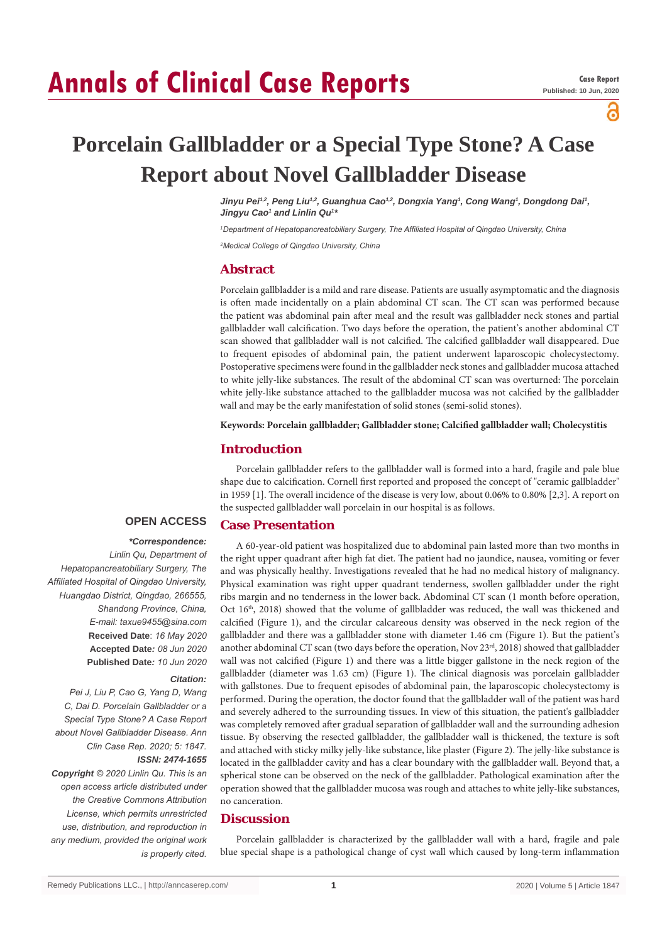# **Annals of Clinical Case Reports**

പ്പ

## **Porcelain Gallbladder or a Special Type Stone? A Case Report about Novel Gallbladder Disease**

Jinyu Pei<sup>n2</sup>, Peng Liu<sup>n2</sup>, Guanghua Cao<sup>n2</sup>, Dongxia Yang<sup>1</sup>, Cong Wang<sup>1</sup>, Dongdong Dai<sup>1</sup>, *Jingyu Cao1 and Linlin Qu1 \**

*1 Department of Hepatopancreatobiliary Surgery, The Affiliated Hospital of Qingdao University, China*

*2 Medical College of Qingdao University, China*

### **Abstract**

Porcelain gallbladder is a mild and rare disease. Patients are usually asymptomatic and the diagnosis is often made incidentally on a plain abdominal CT scan. The CT scan was performed because the patient was abdominal pain after meal and the result was gallbladder neck stones and partial gallbladder wall calcification. Two days before the operation, the patient's another abdominal CT scan showed that gallbladder wall is not calcified. The calcified gallbladder wall disappeared. Due to frequent episodes of abdominal pain, the patient underwent laparoscopic cholecystectomy. Postoperative specimens were found in the gallbladder neck stones and gallbladder mucosa attached to white jelly-like substances. The result of the abdominal CT scan was overturned: The porcelain white jelly-like substance attached to the gallbladder mucosa was not calcified by the gallbladder wall and may be the early manifestation of solid stones (semi-solid stones).

### **Keywords: Porcelain gallbladder; Gallbladder stone; Calcified gallbladder wall; Cholecystitis**

### **Introduction**

Porcelain gallbladder refers to the gallbladder wall is formed into a hard, fragile and pale blue shape due to calcification. Cornell first reported and proposed the concept of "ceramic gallbladder" in 1959 [1]. The overall incidence of the disease is very low, about 0.06% to 0.80% [2,3]. A report on the suspected gallbladder wall porcelain in our hospital is as follows.

### **Case Presentation**

## **OPEN ACCESS**

 *\*Correspondence: Linlin Qu, Department of Hepatopancreatobiliary Surgery, The Affiliated Hospital of Qingdao University, Huangdao District, Qingdao, 266555, Shandong Province, China, E-mail: taxue9455@sina.com* **Received Date**: *16 May 2020* **Accepted Date***: 08 Jun 2020* **Published Date***: 10 Jun 2020*

### *Citation:*

*Pei J, Liu P, Cao G, Yang D, Wang C, Dai D. Porcelain Gallbladder or a Special Type Stone? A Case Report about Novel Gallbladder Disease. Ann Clin Case Rep. 2020; 5: 1847. ISSN: 2474-1655*

*Copyright © 2020 Linlin Qu. This is an open access article distributed under the Creative Commons Attribution License, which permits unrestricted use, distribution, and reproduction in any medium, provided the original work is properly cited.*

A 60-year-old patient was hospitalized due to abdominal pain lasted more than two months in the right upper quadrant after high fat diet. The patient had no jaundice, nausea, vomiting or fever and was physically healthy. Investigations revealed that he had no medical history of malignancy. Physical examination was right upper quadrant tenderness, swollen gallbladder under the right ribs margin and no tenderness in the lower back. Abdominal CT scan (1 month before operation, Oct  $16<sup>th</sup>$ , 2018) showed that the volume of gallbladder was reduced, the wall was thickened and calcified (Figure 1), and the circular calcareous density was observed in the neck region of the gallbladder and there was a gallbladder stone with diameter 1.46 cm (Figure 1). But the patient's another abdominal CT scan (two days before the operation, Nov 23<sup>rd</sup>, 2018) showed that gallbladder wall was not calcified (Figure 1) and there was a little bigger gallstone in the neck region of the gallbladder (diameter was 1.63 cm) (Figure 1). The clinical diagnosis was porcelain gallbladder with gallstones. Due to frequent episodes of abdominal pain, the laparoscopic cholecystectomy is performed. During the operation, the doctor found that the gallbladder wall of the patient was hard and severely adhered to the surrounding tissues. In view of this situation, the patient's gallbladder was completely removed after gradual separation of gallbladder wall and the surrounding adhesion tissue. By observing the resected gallbladder, the gallbladder wall is thickened, the texture is soft and attached with sticky milky jelly-like substance, like plaster (Figure 2). The jelly-like substance is located in the gallbladder cavity and has a clear boundary with the gallbladder wall. Beyond that, a spherical stone can be observed on the neck of the gallbladder. Pathological examination after the operation showed that the gallbladder mucosa was rough and attaches to white jelly-like substances, no canceration.

### **Discussion**

Porcelain gallbladder is characterized by the gallbladder wall with a hard, fragile and pale blue special shape is a pathological change of cyst wall which caused by long-term inflammation